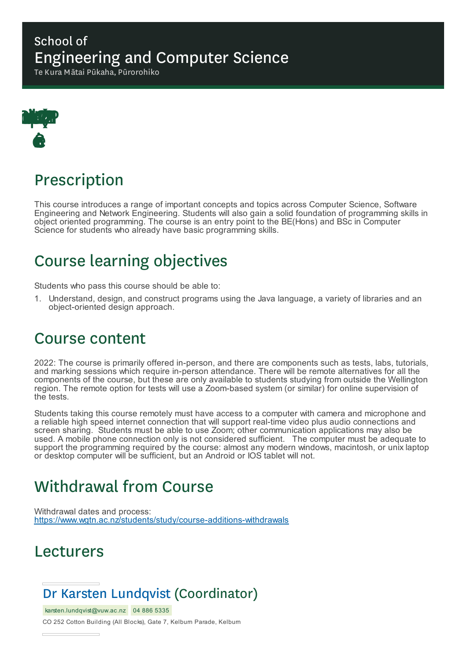#### School of Engineering and Computer Science

Te Kura Mātai Pūkaha, Pūrorohiko



### Prescription

This course introduces a range of important concepts and topics across Computer Science, Software Engineering and Network Engineering. Students will also gain a solid foundation of programming skills in object oriented programming. The course is an entry point to the BE(Hons) and BSc in Computer Science for students who already have basic programming skills.

## Course learning objectives

Students who pass this course should be able to:

1. Understand, design, and construct programs using the Java language, a variety of libraries and an object-oriented design approach.

### Course content

2022: The course is primarily offered in-person, and there are components such as tests, labs, tutorials, and marking sessions which require in-person attendance. There will be remote alternatives for all the components of the course, but these are only available to students studying from outside the Wellington region. The remote option for tests will use a Zoom-based system (or similar) for online supervision of the tests.

Students taking this course remotely must have access to a computer with camera and microphone and a reliable high speed internet connection that will support real-time video plus audio connections and screen sharing. Students must be able to use Zoom; other communication applications may also be used. A mobile phone connection only is not considered sufficient. The computer must be adequate to support the programming required by the course: almost any modern windows, macintosh, or unix laptop or desktop computer will be sufficient, but an Android or IOS tablet will not.

### Withdrawal from Course

Withdrawal dates and process: https://www.wgtn.ac.nz/students/study/course-additions-withdrawals

### Lecturers

### Dr Karsten Lundqvist (Coordinator)

karsten.lundqvist@vuw.ac.nz 04 886 5335

CO 252 Cotton Building (All Blocks), Gate 7, Kelburn Parade, Kelburn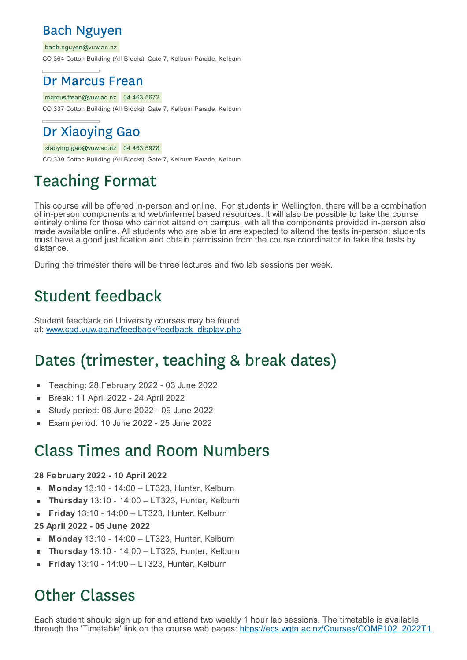#### Bach Nguyen

bach.nguyen@vuw.ac.nz

CO 364 Cotton Building (All Blocks), Gate 7, Kelburn Parade, Kelburn

#### Dr Marcus Frean

marcus.frean@vuw.ac.nz 04 463 5672

CO 337 Cotton Building (All Blocks), Gate 7, Kelburn Parade, Kelburn

### Dr Xiaoying Gao

xiaoying.gao@vuw.ac.nz 04 463 5978

CO 339 Cotton Building (All Blocks), Gate 7, Kelburn Parade, Kelburn

# Teaching Format

This course will be offered in-person and online. For students in Wellington, there will be a combination of in-person components and web/internet based resources. It will also be possible to take the course entirely online for those who cannot attend on campus, with all the components provided in-person also made available online. All students who are able to are expected to attend the tests in-person; students must have a good justification and obtain permission from the course coordinator to take the tests by distance.

During the trimester there will be three lectures and two lab sessions per week.

### Student feedback

Student feedback on University courses may be found at: www.cad.vuw.ac.nz/feedback/feedback\_display.php

### Dates (trimester, teaching & break dates)

- Teaching: 28 February 2022 03 June 2022  $\blacksquare$
- Break: 11 April 2022 24 April 2022
- Study period: 06 June 2022 09 June 2022 É
- Exam period: 10 June 2022 25 June 2022

### Class Times and Room Numbers

#### **28 February 2022 - 10 April 2022**

- **Monday** 13:10 14:00 LT323, Hunter, Kelburn
- **Thursday** 13:10 14:00 LT323, Hunter, Kelburn Ė
- **Friday** 13:10 14:00 LT323, Hunter, Kelburn  $\blacksquare$
- **25 April 2022 - 05 June 2022**
- **Monday** 13:10 14:00 LT323, Hunter, Kelburn
- **Thursday** 13:10 14:00 LT323, Hunter, Kelburn r
- **Friday** 13:10 14:00 LT323, Hunter, Kelburn

## Other Classes

Each student should sign up for and attend two weekly 1 hour lab sessions. The timetable is available through the 'Timetable' link on the course web pages: https://ecs.wgtn.ac.nz/Courses/COMP102\_2022T1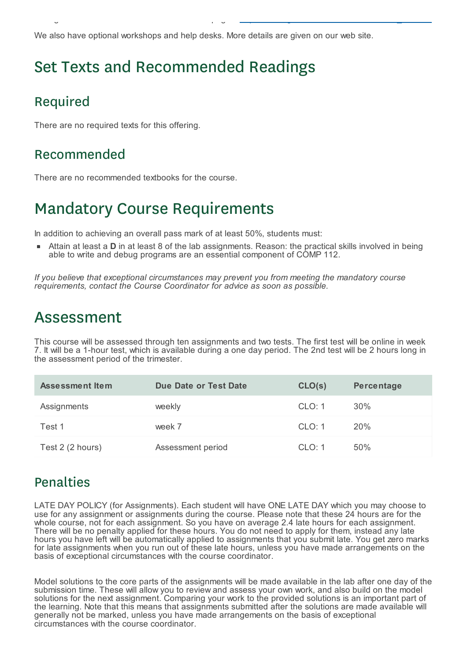We also have optional workshops and help desks. More details are given on our web site.

through the 'Timetable' link on the course web pages: https://ecs.wgtn.ac.nz/Courses/COMP102\_2022T1

## Set Texts and Recommended Readings

#### Required

There are no required texts for this offering.

#### Recommended

There are no recommended textbooks for the course.

### Mandatory Course Requirements

In addition to achieving an overall pass mark of at least 50%, students must:

Attain at least a **D** in at least 8 of the lab assignments. Reason: the practical skills involved in being able to write and debug programs are an essential component of COMP 112.

*If you believe that exceptional circumstances may prevent you from meeting the mandatory course requirements, contact the Course Coordinator for advice as soon as possible.*

### Assessment

This course will be assessed through ten assignments and two tests. The first test will be online in week 7. It will be a 1-hour test, which is available during a one day period. The 2nd test will be 2 hours long in the assessment period of the trimester.

| <b>Assessment Item</b> | Due Date or Test Date | CLO(s) | Percentage |
|------------------------|-----------------------|--------|------------|
| Assignments            | weekly                | CLO: 1 | 30%        |
| Test 1                 | week 7                | CLO: 1 | 20%        |
| Test 2 (2 hours)       | Assessment period     | CLO: 1 | 50%        |

#### Penalties

LATE DAY POLICY (for Assignments). Each student will have ONE LATE DAY which you may choose to use for any assignment or assignments during the course. Please note that these 24 hours are for the whole course, not for each assignment. So you have on average 2.4 late hours for each assignment. There will be no penalty applied for these hours. You do not need to apply for them, instead any late hours you have left will be automatically applied to assignments that you submit late. You get zero marks for late assignments when you run out of these late hours, unless you have made arrangements on the basis of exceptional circumstances with the course coordinator.

Model solutions to the core parts of the assignments will be made available in the lab after one day of the submission time. These will allow you to review and assess your own work, and also build on the model solutions for the next assignment. Comparing your work to the provided solutions is an important part of the learning. Note that this means that assignments submitted after the solutions are made available will generally not be marked, unless you have made arrangements on the basis of exceptional circumstances with the course coordinator.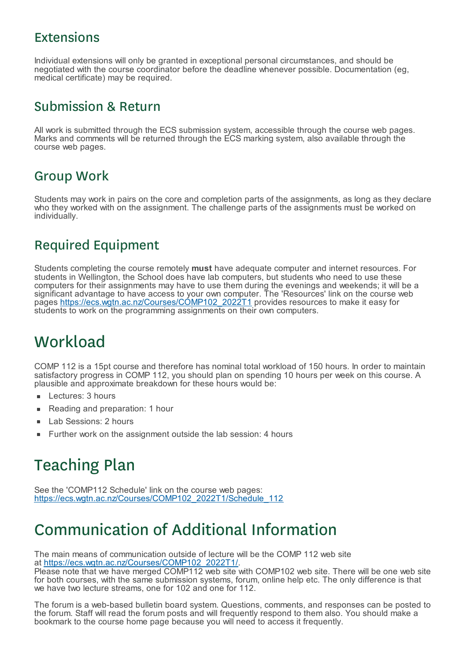#### Extensions

Individual extensions will only be granted in exceptional personal circumstances, and should be negotiated with the course coordinator before the deadline whenever possible. Documentation (eg, medical certificate) may be required.

#### Submission & Return

All work is submitted through the ECS submission system, accessible through the course web pages. Marks and comments will be returned through the ECS marking system, also available through the course web pages.

#### Group Work

Students may work in pairs on the core and completion parts of the assignments, as long as they declare who they worked with on the assignment. The challenge parts of the assignments must be worked on individually.

#### Required Equipment

Students completing the course remotely **must** have adequate computer and internet resources. For students in Wellington, the School does have lab computers, but students who need to use these computers for their assignments may have to use them during the evenings and weekends; it will be a significant advantage to have access to your own computer. The 'Resources' link on the course web pages <u>https://ecs.wgtn.ac.nz/Courses/COMP102\_2022T1</u> provides resources to make it easy for students to work on the programming assignments on their own computers.

## **Workload**

COMP 112 is a 15pt course and therefore has nominal total workload of 150 hours. In order to maintain satisfactory progress in COMP 112, you should plan on spending 10 hours per week on this course. A plausible and approximate breakdown for these hours would be:

- Lectures: 3 hours
- Reading and preparation: 1 hour É
- Lab Sessions: 2 hours ×
- Further work on the assignment outside the lab session: 4 hours

# Teaching Plan

See the 'COMP112 Schedule' link on the course web pages: https://ecs.wgtn.ac.nz/Courses/COMP102\_2022T1/Schedule\_112

### Communication of Additional Information

The main means of communication outside of lecture will be the COMP 112 web site at https://ecs.wgtn.ac.nz/Courses/COMP102\_2022T1/.

Please note that we have merged COMP112 web site with COMP102 web site. There will be one web site for both courses, with the same submission systems, forum, online help etc. The only difference is that we have two lecture streams, one for 102 and one for 112.

The forum is a web-based bulletin board system. Questions, comments, and responses can be posted to the forum. Staff will read the forum posts and will frequently respond to them also. You should make a bookmark to the course home page because you will need to access it frequently.